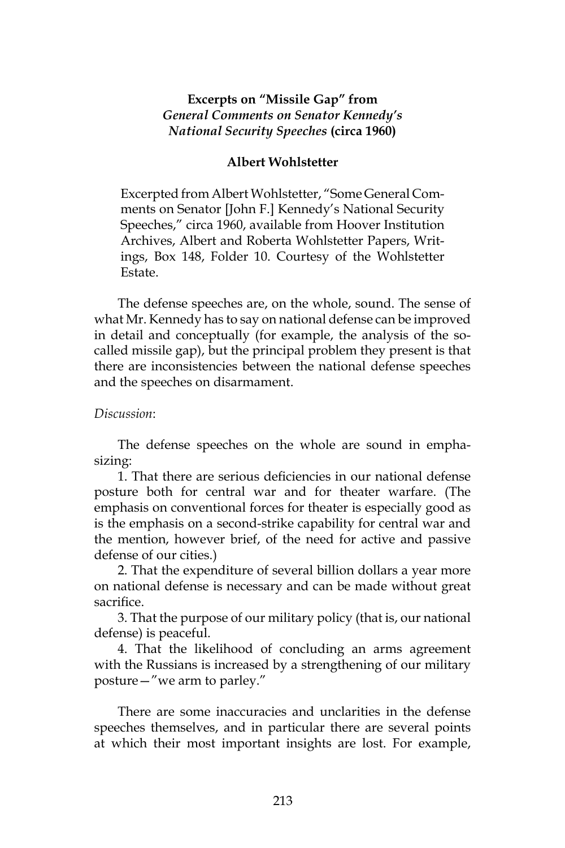## **Excerpts on "Missile Gap" from** *General Comments on Senator Kennedy's National Security Speeches* **(circa 1960)**

## **Albert Wohlstetter**

Excerpted from Albert Wohlstetter, "Some General Comments on Senator [John F.] Kennedy's National Security Speeches," circa 1960, available from Hoover Institution Archives, Albert and Roberta Wohlstetter Papers, Writings, Box 148, Folder 10. Courtesy of the Wohlstetter Estate.

The defense speeches are, on the whole, sound. The sense of what Mr. Kennedy has to say on national defense can be improved in detail and conceptually (for example, the analysis of the socalled missile gap), but the principal problem they present is that there are inconsistencies between the national defense speeches and the speeches on disarmament.

## *Discussion*:

The defense speeches on the whole are sound in emphasizing:

1. That there are serious deficiencies in our national defense posture both for central war and for theater warfare. (The emphasis on conventional forces for theater is especially good as is the emphasis on a second-strike capability for central war and the mention, however brief, of the need for active and passive defense of our cities.)

2. That the expenditure of several billion dollars a year more on national defense is necessary and can be made without great sacrifice.

3. That the purpose of our military policy (that is, our national defense) is peaceful.

4. That the likelihood of concluding an arms agreement with the Russians is increased by a strengthening of our military posture—"we arm to parley."

There are some inaccuracies and unclarities in the defense speeches themselves, and in particular there are several points at which their most important insights are lost. For example,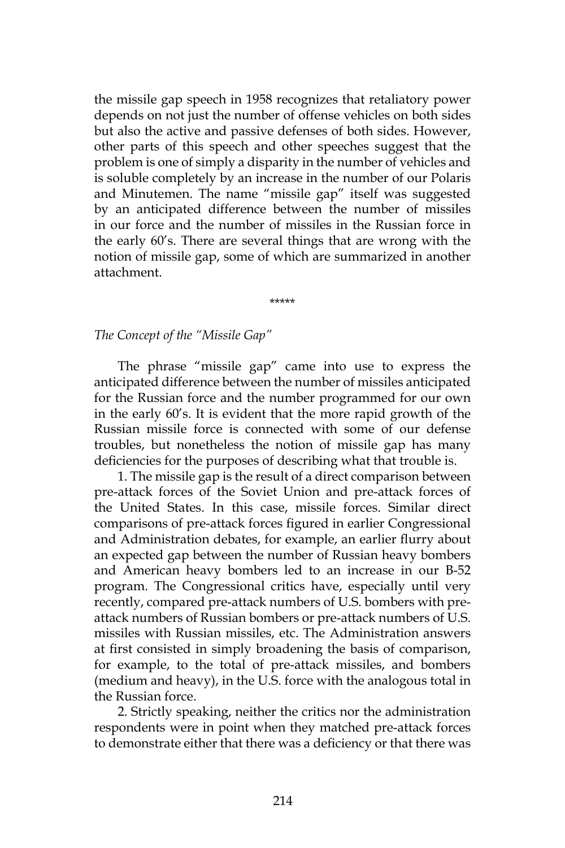the missile gap speech in 1958 recognizes that retaliatory power depends on not just the number of offense vehicles on both sides but also the active and passive defenses of both sides. However, other parts of this speech and other speeches suggest that the problem is one of simply a disparity in the number of vehicles and is soluble completely by an increase in the number of our Polaris and Minutemen. The name "missile gap" itself was suggested by an anticipated difference between the number of missiles in our force and the number of missiles in the Russian force in the early 60's. There are several things that are wrong with the notion of missile gap, some of which are summarized in another attachment.

*The Concept of the "Missile Gap"*

The phrase "missile gap" came into use to express the anticipated difference between the number of missiles anticipated for the Russian force and the number programmed for our own in the early 60's. It is evident that the more rapid growth of the Russian missile force is connected with some of our defense troubles, but nonetheless the notion of missile gap has many deficiencies for the purposes of describing what that trouble is.

\*\*\*\*\*

1. The missile gap is the result of a direct comparison between pre-attack forces of the Soviet Union and pre-attack forces of the United States. In this case, missile forces. Similar direct comparisons of pre-attack forces figured in earlier Congressional and Administration debates, for example, an earlier flurry about an expected gap between the number of Russian heavy bombers and American heavy bombers led to an increase in our B-52 program. The Congressional critics have, especially until very recently, compared pre-attack numbers of U.S. bombers with preattack numbers of Russian bombers or pre-attack numbers of U.S. missiles with Russian missiles, etc. The Administration answers at first consisted in simply broadening the basis of comparison, for example, to the total of pre-attack missiles, and bombers (medium and heavy), in the U.S. force with the analogous total in the Russian force.

2. Strictly speaking, neither the critics nor the administration respondents were in point when they matched pre-attack forces to demonstrate either that there was a deficiency or that there was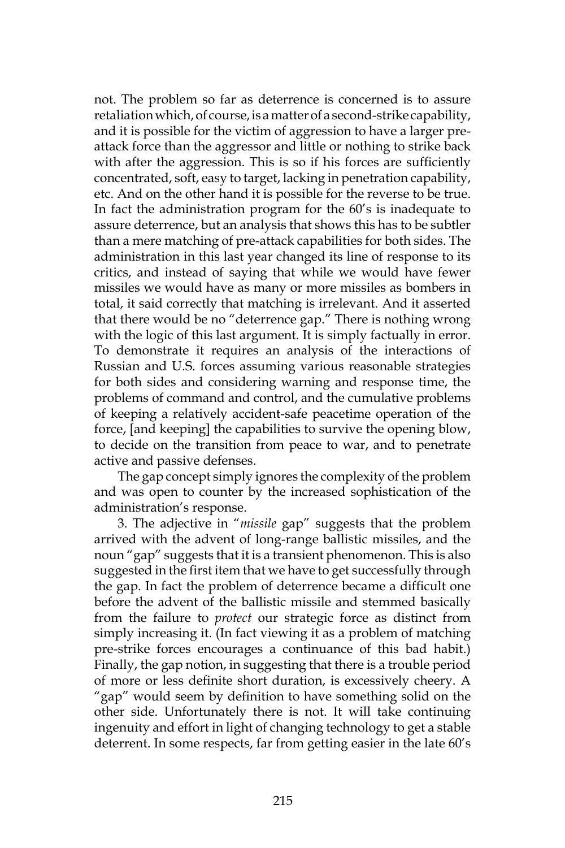not. The problem so far as deterrence is concerned is to assure retaliation which, of course, is a matter of a second-strike capability, and it is possible for the victim of aggression to have a larger preattack force than the aggressor and little or nothing to strike back with after the aggression. This is so if his forces are sufficiently concentrated, soft, easy to target, lacking in penetration capability, etc. And on the other hand it is possible for the reverse to be true. In fact the administration program for the 60's is inadequate to assure deterrence, but an analysis that shows this has to be subtler than a mere matching of pre-attack capabilities for both sides. The administration in this last year changed its line of response to its critics, and instead of saying that while we would have fewer missiles we would have as many or more missiles as bombers in total, it said correctly that matching is irrelevant. And it asserted that there would be no "deterrence gap." There is nothing wrong with the logic of this last argument. It is simply factually in error. To demonstrate it requires an analysis of the interactions of Russian and U.S. forces assuming various reasonable strategies for both sides and considering warning and response time, the problems of command and control, and the cumulative problems of keeping a relatively accident-safe peacetime operation of the force, [and keeping] the capabilities to survive the opening blow, to decide on the transition from peace to war, and to penetrate active and passive defenses.

The gap concept simply ignores the complexity of the problem and was open to counter by the increased sophistication of the administration's response.

3. The adjective in "*missile* gap" suggests that the problem arrived with the advent of long-range ballistic missiles, and the noun "gap" suggests that it is a transient phenomenon. This is also suggested in the first item that we have to get successfully through the gap. In fact the problem of deterrence became a difficult one before the advent of the ballistic missile and stemmed basically from the failure to *protect* our strategic force as distinct from simply increasing it. (In fact viewing it as a problem of matching pre-strike forces encourages a continuance of this bad habit.) Finally, the gap notion, in suggesting that there is a trouble period of more or less definite short duration, is excessively cheery. A "gap" would seem by definition to have something solid on the other side. Unfortunately there is not. It will take continuing ingenuity and effort in light of changing technology to get a stable deterrent. In some respects, far from getting easier in the late 60's